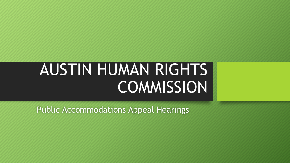# AUSTIN HUMAN RIGHTS COMMISSION

Public Accommodations Appeal Hearings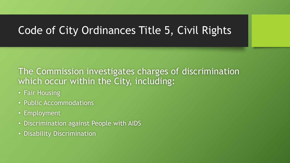## Code of City Ordinances Title 5, Civil Rights

### The Commission investigates charges of discrimination which occur within the City, including:

- Fair Housing
- Public Accommodations
- Employment
- Discrimination against People with AIDS
- Disability Discrimination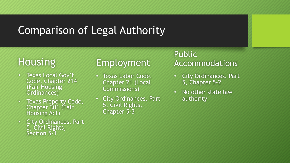## Comparison of Legal Authority

## **Housing**

- Texas Local Gov't Code, Chapter 214 (Fair Housing Ordinances)
- Texas Property Code, Chapter 301 (Fair Housing Act)
- City Ordinances, Part 5, Civil Rights, Section 5-1

## Employment

- Texas Labor Code, Chapter 21 (Local Commissions)
- City Ordinances, Part 5, Civil Rights, Chapter 5-3

#### Public Accommodations

- City Ordinances, Part 5, Chapter 5-2
- No other state law authority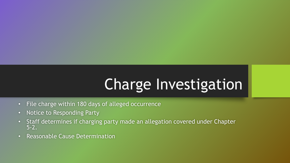## Charge Investigation

- File charge within 180 days of alleged occurrence
- Notice to Responding Party
- Staff determines if charging party made an allegation covered under Chapter 5-2.
- Reasonable Cause Determination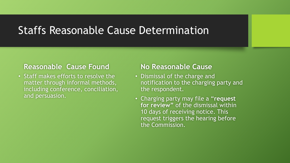## Staffs Reasonable Cause Determination

#### **Reasonable Cause Found**

• Staff makes efforts to resolve the matter through informal methods, including conference, conciliation, and persuasion.

#### **No Reasonable Cause**

- Dismissal of the charge and notification to the charging party and the respondent.
- Charging party may file a "**request for review"** of the dismissal within 10 days of receiving notice. This request triggers the hearing before the Commission.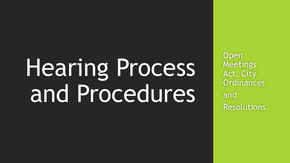# Hearing Process and Procedures

**Open** Meetings Act, City **Ordinances** and Resolutions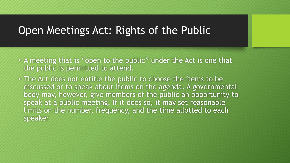## Open Meetings Act: Rights of the Public

- A meeting that is "open to the public" under the Act is one that the public is permitted to attend.
- The Act does not entitle the public to choose the items to be discussed or to speak about items on the agenda. A governmental body may, however, give members of the public an opportunity to speak at a public meeting. If it does so, it may set reasonable limits on the number, frequency, and the time allotted to each speaker.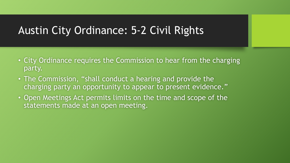## Austin City Ordinance: 5-2 Civil Rights

- City Ordinance requires the Commission to hear from the charging party.
- The Commission, "shall conduct a hearing and provide the charging party an opportunity to appear to present evidence."
- Open Meetings Act permits limits on the time and scope of the statements made at an open meeting.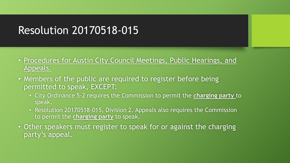## Resolution 20170518-015

- Procedures for Austin City Council Meetings, Public Hearings, and Appeals.
- Members of the public are required to register before being permitted to speak, EXCEPT:
	- City Ordinance 5-2 requires the Commission to permit the **charging party** to speak.
	- Resolution 20170518-015, Division 2. Appeals also requires the Commission to permit the **charging party** to speak.
- Other speakers must register to speak for or against the charging party's appeal.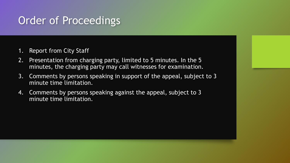## Order of Proceedings

- 1. Report from City Staff
- 2. Presentation from charging party, limited to 5 minutes. In the 5 minutes, the charging party may call witnesses for examination.
- 3. Comments by persons speaking in support of the appeal, subject to 3 minute time limitation.
- 4. Comments by persons speaking against the appeal, subject to 3 minute time limitation.